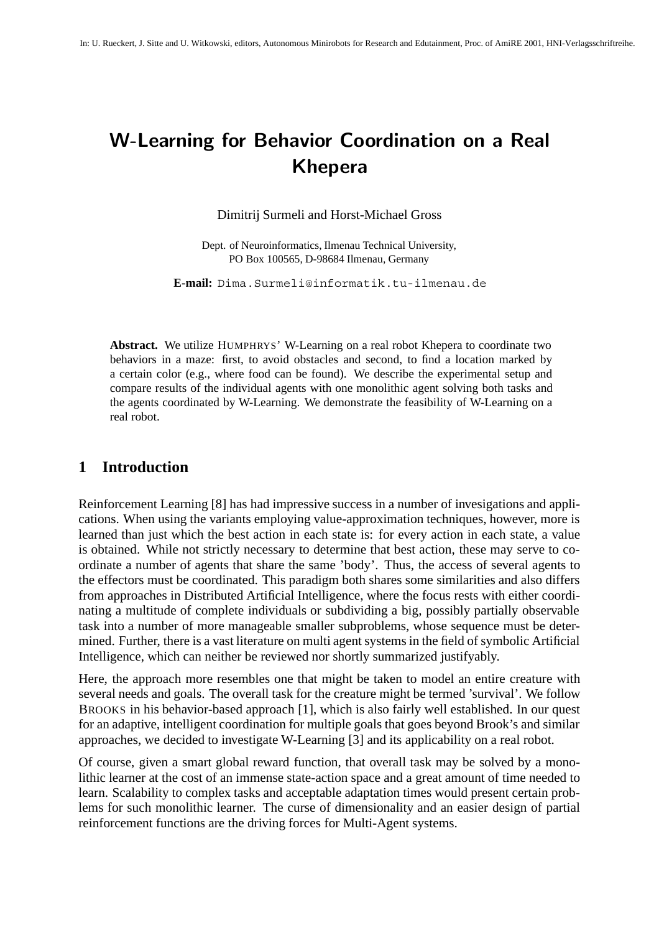# **W-Learning for Behavior Coordination on a Real Khepera**

Dimitrij Surmeli and Horst-Michael Gross

Dept. of Neuroinformatics, Ilmenau Technical University, PO Box 100565, D-98684 Ilmenau, Germany

**E-mail:** Dima.Surmeli@informatik.tu-ilmenau.de

**Abstract.** We utilize HUMPHRYS' W-Learning on a real robot Khepera to coordinate two behaviors in a maze: first, to avoid obstacles and second, to find a location marked by a certain color (e.g., where food can be found). We describe the experimental setup and compare results of the individual agents with one monolithic agent solving both tasks and the agents coordinated by W-Learning. We demonstrate the feasibility of W-Learning on a real robot.

# **1 Introduction**

Reinforcement Learning [8] has had impressive success in a number of invesigations and applications. When using the variants employing value-approximation techniques, however, more is learned than just which the best action in each state is: for every action in each state, a value is obtained. While not strictly necessary to determine that best action, these may serve to coordinate a number of agents that share the same 'body'. Thus, the access of several agents to the effectors must be coordinated. This paradigm both shares some similarities and also differs from approaches in Distributed Artificial Intelligence, where the focus rests with either coordinating a multitude of complete individuals or subdividing a big, possibly partially observable task into a number of more manageable smaller subproblems, whose sequence must be determined. Further, there is a vast literature on multi agent systems in the field of symbolic Artificial Intelligence, which can neither be reviewed nor shortly summarized justifyably.

Here, the approach more resembles one that might be taken to model an entire creature with several needs and goals. The overall task for the creature might be termed 'survival'. We follow BROOKS in his behavior-based approach [1], which is also fairly well established. In our quest for an adaptive, intelligent coordination for multiple goals that goes beyond Brook's and similar approaches, we decided to investigate W-Learning [3] and its applicability on a real robot.

Of course, given a smart global reward function, that overall task may be solved by a monolithic learner at the cost of an immense state-action space and a great amount of time needed to learn. Scalability to complex tasks and acceptable adaptation times would present certain problems for such monolithic learner. The curse of dimensionality and an easier design of partial reinforcement functions are the driving forces for Multi-Agent systems.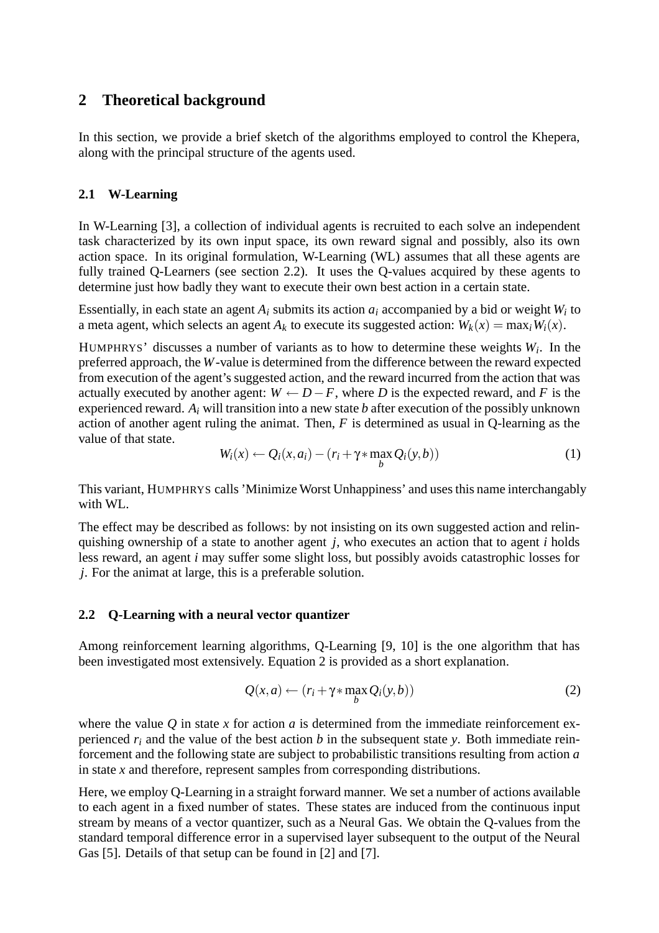# **2 Theoretical background**

In this section, we provide a brief sketch of the algorithms employed to control the Khepera, along with the principal structure of the agents used.

### **2.1 W-Learning**

In W-Learning [3], a collection of individual agents is recruited to each solve an independent task characterized by its own input space, its own reward signal and possibly, also its own action space. In its original formulation, W-Learning (WL) assumes that all these agents are fully trained Q-Learners (see section 2.2). It uses the Q-values acquired by these agents to determine just how badly they want to execute their own best action in a certain state.

Essentially, in each state an agent *Ai* submits its action *ai* accompanied by a bid or weight *Wi* to a meta agent, which selects an agent  $A_k$  to execute its suggested action:  $W_k(x) = \max_i W_i(x)$ .

HUMPHRYS' discusses a number of variants as to how to determine these weights *Wi*. In the preferred approach, the *W*-value is determined from the difference between the reward expected from execution of the agent's suggested action, and the reward incurred from the action that was actually executed by another agent:  $W \leftarrow D - F$ , where *D* is the expected reward, and *F* is the experienced reward. *Ai* will transition into a new state *b* after execution of the possibly unknown action of another agent ruling the animat. Then, *F* is determined as usual in Q-learning as the value of that state.

$$
W_i(x) \leftarrow Q_i(x, a_i) - (r_i + \gamma * \max_b Q_i(y, b))
$$
\n(1)

This variant, HUMPHRYS calls 'Minimize Worst Unhappiness' and uses this name interchangably with WL.

The effect may be described as follows: by not insisting on its own suggested action and relinquishing ownership of a state to another agent *j*, who executes an action that to agent *i* holds less reward, an agent *i* may suffer some slight loss, but possibly avoids catastrophic losses for *j*. For the animat at large, this is a preferable solution.

### **2.2 Q-Learning with a neural vector quantizer**

Among reinforcement learning algorithms, Q-Learning [9, 10] is the one algorithm that has been investigated most extensively. Equation 2 is provided as a short explanation.

$$
Q(x,a) \leftarrow (r_i + \gamma * \max_b Q_i(y,b))
$$
\n(2)

where the value  $\hat{O}$  in state *x* for action *a* is determined from the immediate reinforcement experienced  $r_i$  and the value of the best action *b* in the subsequent state *y*. Both immediate reinforcement and the following state are subject to probabilistic transitions resulting from action *a* in state *x* and therefore, represent samples from corresponding distributions.

Here, we employ Q-Learning in a straight forward manner. We set a number of actions available to each agent in a fixed number of states. These states are induced from the continuous input stream by means of a vector quantizer, such as a Neural Gas. We obtain the Q-values from the standard temporal difference error in a supervised layer subsequent to the output of the Neural Gas [5]. Details of that setup can be found in [2] and [7].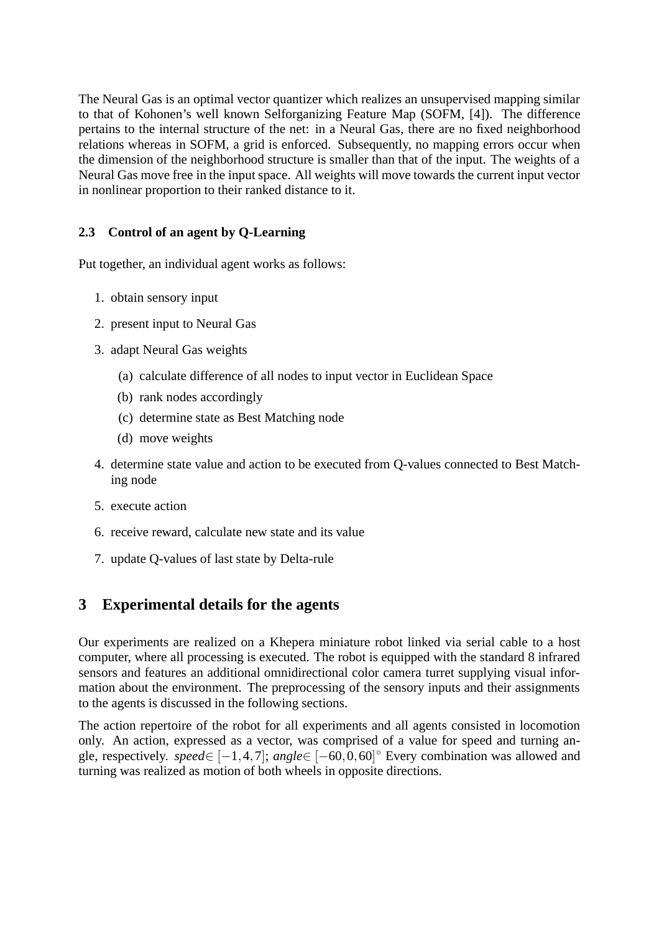The Neural Gas is an optimal vector quantizer which realizes an unsupervised mapping similar to that of Kohonen's well known Selforganizing Feature Map (SOFM, [4]). The difference pertains to the internal structure of the net: in a Neural Gas, there are no fixed neighborhood relations whereas in SOFM, a grid is enforced. Subsequently, no mapping errors occur when the dimension of the neighborhood structure is smaller than that of the input. The weights of a Neural Gas move free in the input space. All weights will move towards the current input vector in nonlinear proportion to their ranked distance to it.

### **2.3 Control of an agent by Q-Learning**

Put together, an individual agent works as follows:

- 1. obtain sensory input
- 2. present input to Neural Gas
- 3. adapt Neural Gas weights
	- (a) calculate difference of all nodes to input vector in Euclidean Space
	- (b) rank nodes accordingly
	- (c) determine state as Best Matching node
	- (d) move weights
- 4. determine state value and action to be executed from Q-values connected to Best Matching node
- 5. execute action
- 6. receive reward, calculate new state and its value
- 7. update Q-values of last state by Delta-rule

# **3 Experimental details for the agents**

Our experiments are realized on a Khepera miniature robot linked via serial cable to a host computer, where all processing is executed. The robot is equipped with the standard 8 infrared sensors and features an additional omnidirectional color camera turret supplying visual information about the environment. The preprocessing of the sensory inputs and their assignments to the agents is discussed in the following sections.

The action repertoire of the robot for all experiments and all agents consisted in locomotion only. An action, expressed as a vector, was comprised of a value for speed and turning angle, respectively. *speed*∈ [−1*,*4*,*7]; *angle*∈ [−60*,*0*,*60] ◦ Every combination was allowed and turning was realized as motion of both wheels in opposite directions.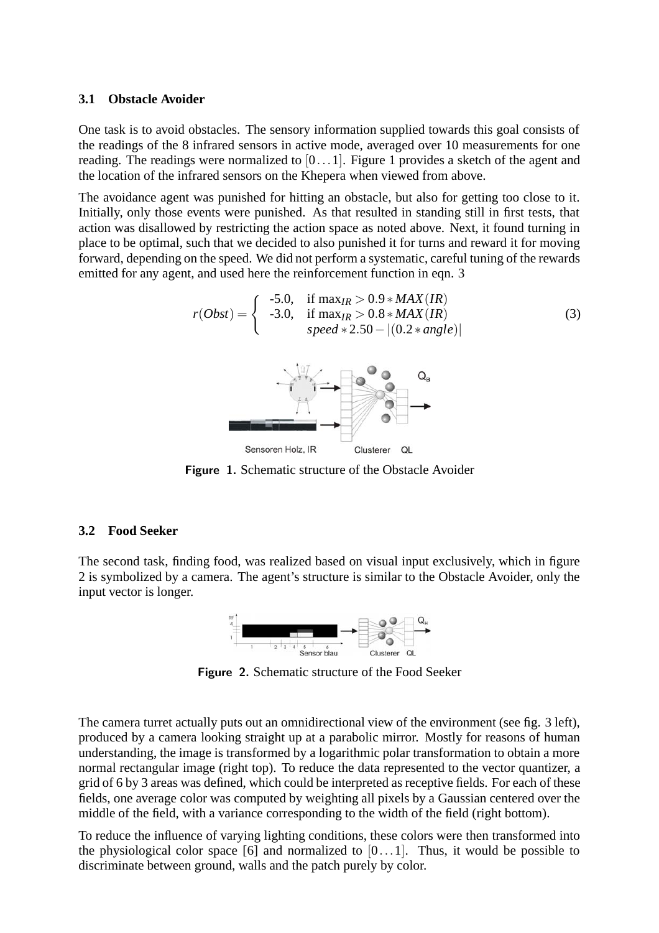#### **3.1 Obstacle Avoider**

One task is to avoid obstacles. The sensory information supplied towards this goal consists of the readings of the 8 infrared sensors in active mode, averaged over 10 measurements for one reading. The readings were normalized to [0*...*1]. Figure 1 provides a sketch of the agent and the location of the infrared sensors on the Khepera when viewed from above.

The avoidance agent was punished for hitting an obstacle, but also for getting too close to it. Initially, only those events were punished. As that resulted in standing still in first tests, that action was disallowed by restricting the action space as noted above. Next, it found turning in place to be optimal, such that we decided to also punished it for turns and reward it for moving forward, depending on the speed. We did not perform a systematic, careful tuning of the rewards emitted for any agent, and used here the reinforcement function in eqn. 3

$$
r(Obst) = \begin{cases} -5.0, & \text{if } \max_{IR} > 0.9 * MAX(IR) \\ -3.0, & \text{if } \max_{IR} > 0.8 * MAX(IR) \\ speed * 2.50 - |(0.2 * angle)| \end{cases} \tag{3}
$$

**Figure 1.** Schematic structure of the Obstacle Avoider

### **3.2 Food Seeker**

The second task, finding food, was realized based on visual input exclusively, which in figure 2 is symbolized by a camera. The agent's structure is similar to the Obstacle Avoider, only the input vector is longer.



**Figure 2.** Schematic structure of the Food Seeker

The camera turret actually puts out an omnidirectional view of the environment (see fig. 3 left), produced by a camera looking straight up at a parabolic mirror. Mostly for reasons of human understanding, the image is transformed by a logarithmic polar transformation to obtain a more normal rectangular image (right top). To reduce the data represented to the vector quantizer, a grid of 6 by 3 areas was defined, which could be interpreted as receptive fields. For each of these fields, one average color was computed by weighting all pixels by a Gaussian centered over the middle of the field, with a variance corresponding to the width of the field (right bottom).

To reduce the influence of varying lighting conditions, these colors were then transformed into the physiological color space [6] and normalized to [0*...*1]. Thus, it would be possible to discriminate between ground, walls and the patch purely by color.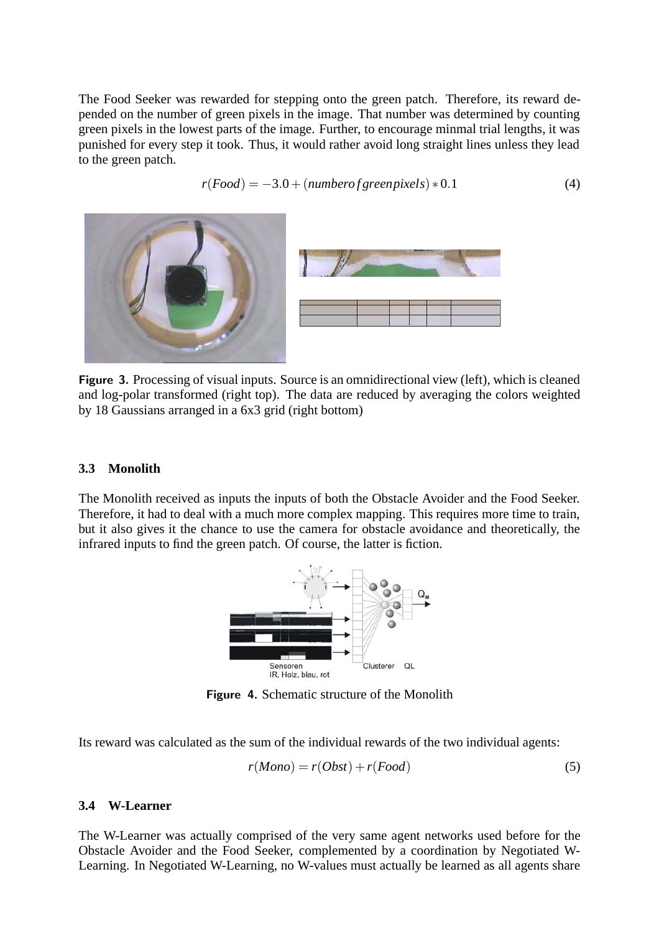The Food Seeker was rewarded for stepping onto the green patch. Therefore, its reward depended on the number of green pixels in the image. That number was determined by counting green pixels in the lowest parts of the image. Further, to encourage minmal trial lengths, it was punished for every step it took. Thus, it would rather avoid long straight lines unless they lead to the green patch.

$$
r(Food) = -3.0 + (number of green pixels) * 0.1 \tag{4}
$$



**Figure 3.** Processing of visual inputs. Source is an omnidirectional view (left), which is cleaned and log-polar transformed (right top). The data are reduced by averaging the colors weighted by 18 Gaussians arranged in a 6x3 grid (right bottom)

#### **3.3 Monolith**

The Monolith received as inputs the inputs of both the Obstacle Avoider and the Food Seeker. Therefore, it had to deal with a much more complex mapping. This requires more time to train, but it also gives it the chance to use the camera for obstacle avoidance and theoretically, the infrared inputs to find the green patch. Of course, the latter is fiction.



**Figure 4.** Schematic structure of the Monolith

Its reward was calculated as the sum of the individual rewards of the two individual agents:

$$
r(Mono) = r(Obst) + r(Food)
$$
\n<sup>(5)</sup>

#### **3.4 W-Learner**

The W-Learner was actually comprised of the very same agent networks used before for the Obstacle Avoider and the Food Seeker, complemented by a coordination by Negotiated W-Learning. In Negotiated W-Learning, no W-values must actually be learned as all agents share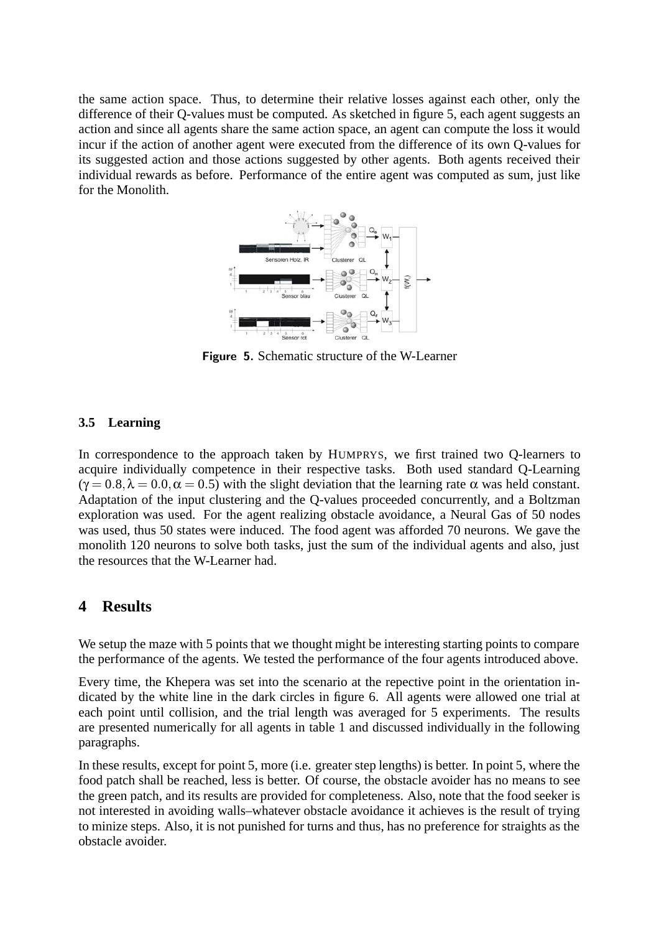the same action space. Thus, to determine their relative losses against each other, only the difference of their Q-values must be computed. As sketched in figure 5, each agent suggests an action and since all agents share the same action space, an agent can compute the loss it would incur if the action of another agent were executed from the difference of its own Q-values for its suggested action and those actions suggested by other agents. Both agents received their individual rewards as before. Performance of the entire agent was computed as sum, just like for the Monolith.



**Figure 5.** Schematic structure of the W-Learner

#### **3.5 Learning**

In correspondence to the approach taken by HUMPRYS, we first trained two Q-learners to acquire individually competence in their respective tasks. Both used standard Q-Learning  $(\gamma = 0.8, \lambda = 0.0, \alpha = 0.5)$  with the slight deviation that the learning rate  $\alpha$  was held constant. Adaptation of the input clustering and the Q-values proceeded concurrently, and a Boltzman exploration was used. For the agent realizing obstacle avoidance, a Neural Gas of 50 nodes was used, thus 50 states were induced. The food agent was afforded 70 neurons. We gave the monolith 120 neurons to solve both tasks, just the sum of the individual agents and also, just the resources that the W-Learner had.

### **4 Results**

We setup the maze with 5 points that we thought might be interesting starting points to compare the performance of the agents. We tested the performance of the four agents introduced above.

Every time, the Khepera was set into the scenario at the repective point in the orientation indicated by the white line in the dark circles in figure 6. All agents were allowed one trial at each point until collision, and the trial length was averaged for 5 experiments. The results are presented numerically for all agents in table 1 and discussed individually in the following paragraphs.

In these results, except for point 5, more (i.e. greater step lengths) is better. In point 5, where the food patch shall be reached, less is better. Of course, the obstacle avoider has no means to see the green patch, and its results are provided for completeness. Also, note that the food seeker is not interested in avoiding walls–whatever obstacle avoidance it achieves is the result of trying to minize steps. Also, it is not punished for turns and thus, has no preference for straights as the obstacle avoider.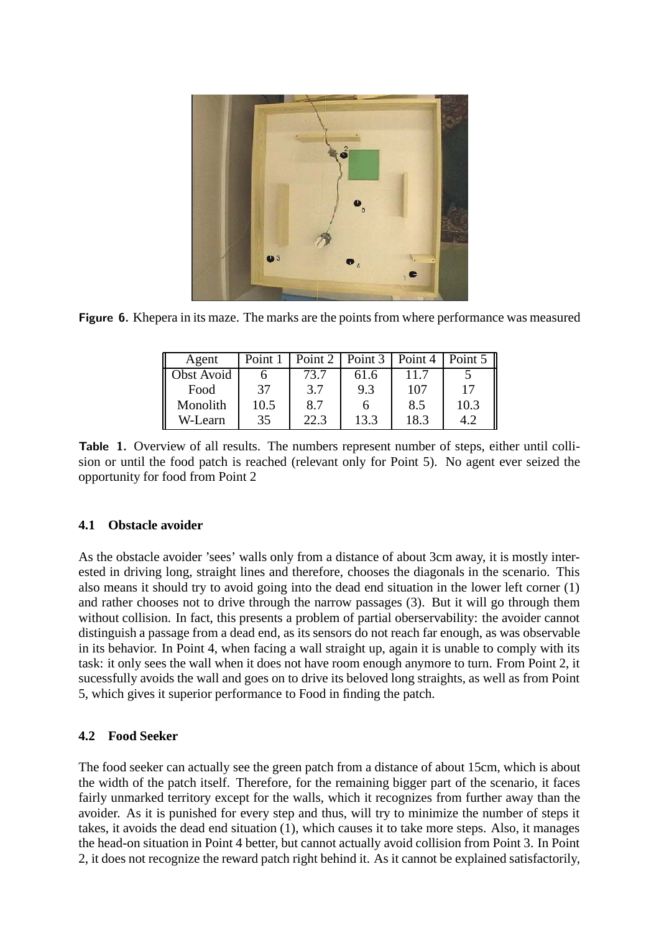

**Figure 6.** Khepera in its maze. The marks are the points from where performance was measured

| Agent             | Point 1 |      | Point 2   Point 3 | Point 4 | Point $5 \parallel$ |
|-------------------|---------|------|-------------------|---------|---------------------|
| <b>Obst Avoid</b> |         | 73.7 | 61.6              | 11.7    |                     |
| Food              | 37      | 3.7  | 9.3               | 107     | 17                  |
| Monolith          | 10.5    | 8.7  | n                 | 8.5     | 10.3                |
| W-Learn           | 35      | 22.3 | 13.3              | 18.3    |                     |

Table 1. Overview of all results. The numbers represent number of steps, either until collision or until the food patch is reached (relevant only for Point 5). No agent ever seized the opportunity for food from Point 2

## **4.1 Obstacle avoider**

As the obstacle avoider 'sees' walls only from a distance of about 3cm away, it is mostly interested in driving long, straight lines and therefore, chooses the diagonals in the scenario. This also means it should try to avoid going into the dead end situation in the lower left corner (1) and rather chooses not to drive through the narrow passages (3). But it will go through them without collision. In fact, this presents a problem of partial oberservability: the avoider cannot distinguish a passage from a dead end, as its sensors do not reach far enough, as was observable in its behavior. In Point 4, when facing a wall straight up, again it is unable to comply with its task: it only sees the wall when it does not have room enough anymore to turn. From Point 2, it sucessfully avoids the wall and goes on to drive its beloved long straights, as well as from Point 5, which gives it superior performance to Food in finding the patch.

# **4.2 Food Seeker**

The food seeker can actually see the green patch from a distance of about 15cm, which is about the width of the patch itself. Therefore, for the remaining bigger part of the scenario, it faces fairly unmarked territory except for the walls, which it recognizes from further away than the avoider. As it is punished for every step and thus, will try to minimize the number of steps it takes, it avoids the dead end situation (1), which causes it to take more steps. Also, it manages the head-on situation in Point 4 better, but cannot actually avoid collision from Point 3. In Point 2, it does not recognize the reward patch right behind it. As it cannot be explained satisfactorily,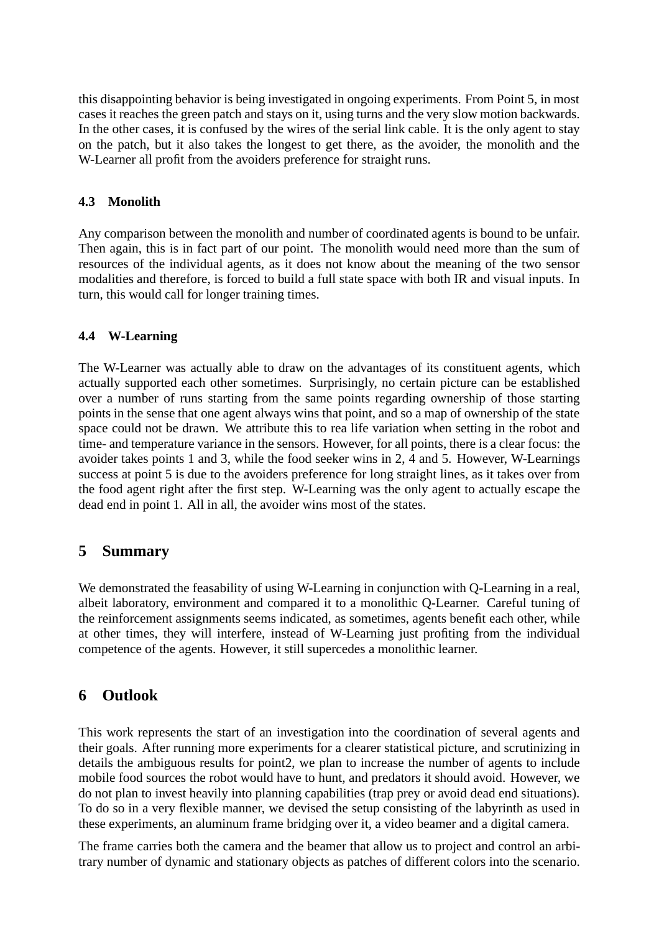this disappointing behavior is being investigated in ongoing experiments. From Point 5, in most cases it reaches the green patch and stays on it, using turns and the very slow motion backwards. In the other cases, it is confused by the wires of the serial link cable. It is the only agent to stay on the patch, but it also takes the longest to get there, as the avoider, the monolith and the W-Learner all profit from the avoiders preference for straight runs.

### **4.3 Monolith**

Any comparison between the monolith and number of coordinated agents is bound to be unfair. Then again, this is in fact part of our point. The monolith would need more than the sum of resources of the individual agents, as it does not know about the meaning of the two sensor modalities and therefore, is forced to build a full state space with both IR and visual inputs. In turn, this would call for longer training times.

### **4.4 W-Learning**

The W-Learner was actually able to draw on the advantages of its constituent agents, which actually supported each other sometimes. Surprisingly, no certain picture can be established over a number of runs starting from the same points regarding ownership of those starting points in the sense that one agent always wins that point, and so a map of ownership of the state space could not be drawn. We attribute this to rea life variation when setting in the robot and time- and temperature variance in the sensors. However, for all points, there is a clear focus: the avoider takes points 1 and 3, while the food seeker wins in 2, 4 and 5. However, W-Learnings success at point 5 is due to the avoiders preference for long straight lines, as it takes over from the food agent right after the first step. W-Learning was the only agent to actually escape the dead end in point 1. All in all, the avoider wins most of the states.

# **5 Summary**

We demonstrated the feasability of using W-Learning in conjunction with Q-Learning in a real, albeit laboratory, environment and compared it to a monolithic Q-Learner. Careful tuning of the reinforcement assignments seems indicated, as sometimes, agents benefit each other, while at other times, they will interfere, instead of W-Learning just profiting from the individual competence of the agents. However, it still supercedes a monolithic learner.

# **6 Outlook**

This work represents the start of an investigation into the coordination of several agents and their goals. After running more experiments for a clearer statistical picture, and scrutinizing in details the ambiguous results for point2, we plan to increase the number of agents to include mobile food sources the robot would have to hunt, and predators it should avoid. However, we do not plan to invest heavily into planning capabilities (trap prey or avoid dead end situations). To do so in a very flexible manner, we devised the setup consisting of the labyrinth as used in these experiments, an aluminum frame bridging over it, a video beamer and a digital camera.

The frame carries both the camera and the beamer that allow us to project and control an arbitrary number of dynamic and stationary objects as patches of different colors into the scenario.